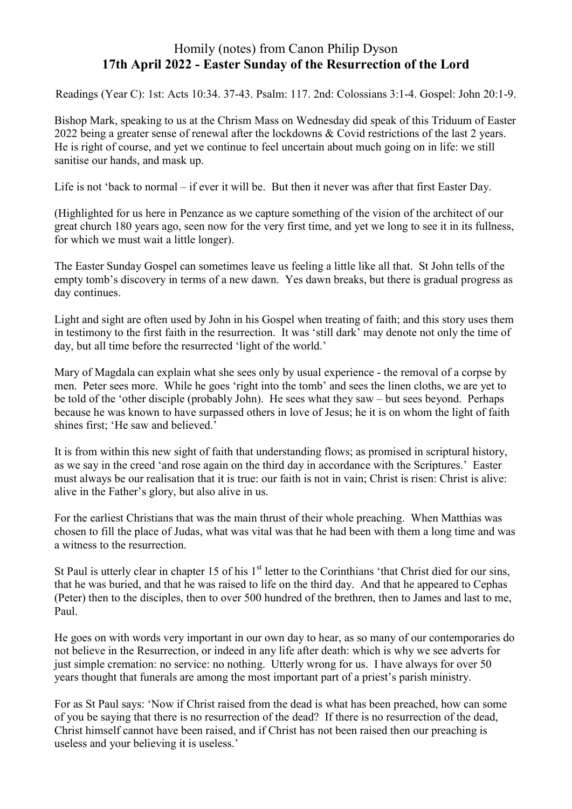## Homily (notes) from Canon Philip Dyson **17th April 2022 - Easter Sunday of the Resurrection of the Lord**

Readings (Year C): 1st: Acts 10:34. 37-43. Psalm: 117. 2nd: Colossians 3:1-4. Gospel: John 20:1-9.

Bishop Mark, speaking to us at the Chrism Mass on Wednesday did speak of this Triduum of Easter 2022 being a greater sense of renewal after the lockdowns & Covid restrictions of the last 2 years. He is right of course, and yet we continue to feel uncertain about much going on in life: we still sanitise our hands, and mask up.

Life is not 'back to normal – if ever it will be. But then it never was after that first Easter Day.

(Highlighted for us here in Penzance as we capture something of the vision of the architect of our great church 180 years ago, seen now for the very first time, and yet we long to see it in its fullness, for which we must wait a little longer).

The Easter Sunday Gospel can sometimes leave us feeling a little like all that. St John tells of the empty tomb's discovery in terms of a new dawn. Yes dawn breaks, but there is gradual progress as day continues.

Light and sight are often used by John in his Gospel when treating of faith; and this story uses them in testimony to the first faith in the resurrection. It was 'still dark' may denote not only the time of day, but all time before the resurrected 'light of the world.'

Mary of Magdala can explain what she sees only by usual experience - the removal of a corpse by men. Peter sees more. While he goes 'right into the tomb' and sees the linen cloths, we are yet to be told of the 'other disciple (probably John). He sees what they saw – but sees beyond. Perhaps because he was known to have surpassed others in love of Jesus; he it is on whom the light of faith shines first; 'He saw and believed.'

It is from within this new sight of faith that understanding flows; as promised in scriptural history, as we say in the creed 'and rose again on the third day in accordance with the Scriptures.' Easter must always be our realisation that it is true: our faith is not in vain; Christ is risen: Christ is alive: alive in the Father's glory, but also alive in us.

For the earliest Christians that was the main thrust of their whole preaching. When Matthias was chosen to fill the place of Judas, what was vital was that he had been with them a long time and was a witness to the resurrection.

St Paul is utterly clear in chapter 15 of his  $1<sup>st</sup>$  letter to the Corinthians 'that Christ died for our sins, that he was buried, and that he was raised to life on the third day. And that he appeared to Cephas (Peter) then to the disciples, then to over 500 hundred of the brethren, then to James and last to me, Paul.

He goes on with words very important in our own day to hear, as so many of our contemporaries do not believe in the Resurrection, or indeed in any life after death: which is why we see adverts for just simple cremation: no service: no nothing. Utterly wrong for us. I have always for over 50 years thought that funerals are among the most important part of a priest's parish ministry.

For as St Paul says: 'Now if Christ raised from the dead is what has been preached, how can some of you be saying that there is no resurrection of the dead? If there is no resurrection of the dead, Christ himself cannot have been raised, and if Christ has not been raised then our preaching is useless and your believing it is useless.'